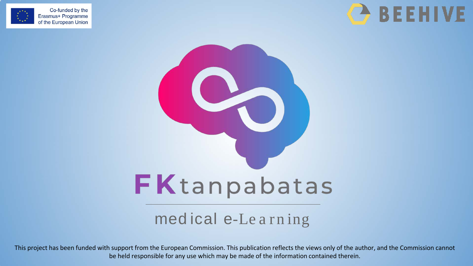





#### medical e-Learning

This project has been funded with support from the European Commission. This publication reflects the views only of the author, and the Commission cannot be held responsible for any use which may be made of the information contained therein.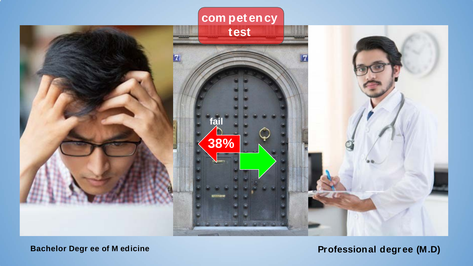

**Bachelor Degr ee of M edicine Professional degree (M.D)**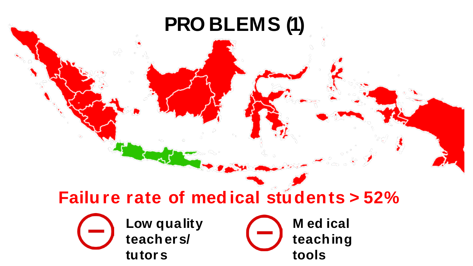## **PRO BLEMS (1)**

## **Failu re rate of med ical students > 52%**



**M ed ical teaching tools**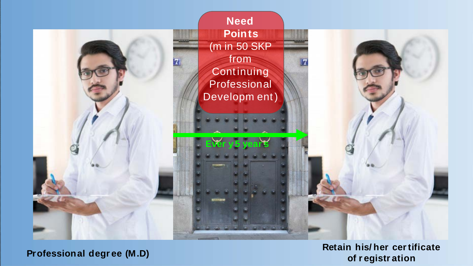

Professional degree (M.D)

Retain his/her certificate of registration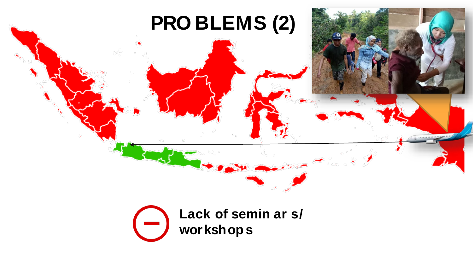# **PRO BLEMS (2)**

.......

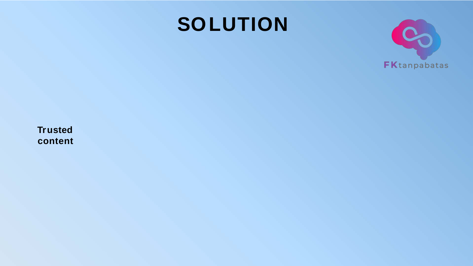## **SOLUTION**



**Trusted** content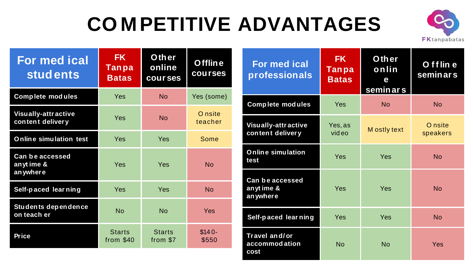# **CO M PETITIVE ADVANTAGES**



| For med ical<br>students                          | <b>FK</b><br>Tanpa<br><b>Batas</b> | Other<br>online<br>cour ses | <b>Offline</b><br>courses |
|---------------------------------------------------|------------------------------------|-----------------------------|---------------------------|
| <b>Complete modules</b>                           | Yes                                | <b>No</b>                   | Yes (some)                |
| Visually-attractive<br>content delivery           | Yes                                | <b>No</b>                   | O nsite<br>teacher        |
| <b>Online simulation test</b>                     | Yes                                | Yes                         | Some                      |
| <b>Can be accessed</b><br>anyt ime &<br>an ywhere | Yes                                | Yes                         | No                        |
| Self-paced learning                               | Yes                                | Yes                         | <b>No</b>                 |
| Students dependence<br>on teach er                | <b>No</b>                          | <b>No</b>                   | Yes                       |
| <b>Price</b>                                      | <b>Starts</b><br>from \$40         | <b>Starts</b><br>from \$7   | $$140-$<br>\$550          |

| For med ical<br>professionals                     | <b>FK</b><br><b>Tanpa</b><br><b>Batas</b> | Other<br>onlin<br>е<br>seminars | O fflin e<br>seminars |
|---------------------------------------------------|-------------------------------------------|---------------------------------|-----------------------|
| Complete modules                                  | Yes                                       | <b>No</b>                       | <b>No</b>             |
| Visually-attractive<br>content delivery           | Yes, as<br>video                          | M ostly text                    | O nsite<br>speakers   |
| <b>Online simulation</b><br>test                  | Yes                                       | Yes                             | <b>No</b>             |
| <b>Can be accessed</b><br>anyt ime &<br>an ywhere | Yes                                       | Yes                             | No                    |
| Self-paced lear ning                              | Yes                                       | Yes                             | <b>No</b>             |
| Travel and/or<br>accommod ation<br>cost           | No                                        | <b>No</b>                       | Yes                   |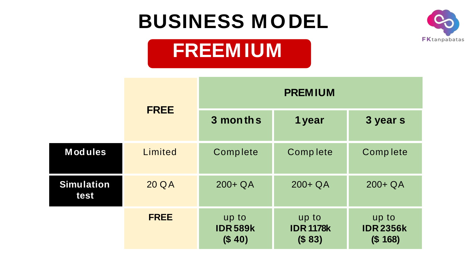## **BUSINESS M ODEL**



## **FREEM IUM**

|                           | <b>FREE</b>  | <b>PREMIUM</b>                     |                                      |                                      |
|---------------------------|--------------|------------------------------------|--------------------------------------|--------------------------------------|
|                           |              | 3 months                           | 1 year                               | 3 year s                             |
| Modules                   | Limited      | Complete                           | <b>Complete</b>                      | Comp lete                            |
| <b>Simulation</b><br>test | <b>20 QA</b> | $200+QA$                           | $200+QA$                             | $200+QA$                             |
|                           | <b>FREE</b>  | up to<br><b>IDR 589k</b><br>(\$40) | up to<br><b>IDR 1178k</b><br>(\$ 83) | up to<br><b>IDR 2356k</b><br>(\$168) |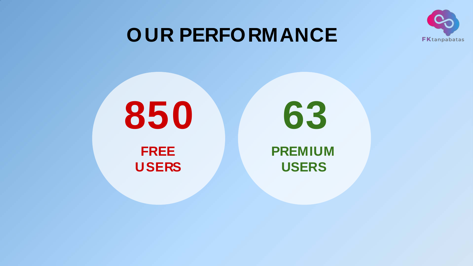

#### **OUR PERFORMANCE**



**FREE USERS** 



**PREMIUM USERS**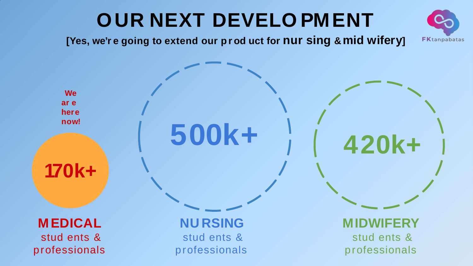## **OUR NEXT DEVELO PMENT**



[Yes, we're going to extend our prod uct for **nur sing & mid wifery**]

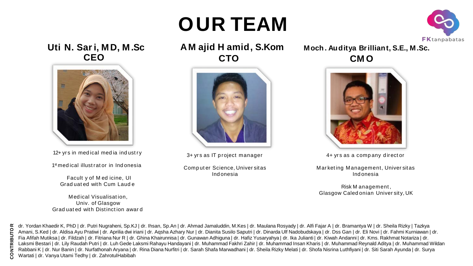# **OUR TEAM**



**Uti N. Sari, M D, M .Sc CEO**



12+ yrs in medical media industry

1st med ical illust rat or in Ind onesia

Facult y of M ed icine, UI Grad uat ed with Cum Laud e

Med ical Visualisat ion, Univ. of Glasgow Grad uat ed with Distinction award **A M ajid H amid, S.Kom CTO**



3+ yr s as IT p roject manager

Comp ut er Science, Univer sitas Ind onesia

**Moch. Auditya Brilliant, S.E., M.Sc. CM O**



4+ yr s as a comp any d irect or

Mar ket ing Management, Univer sitas Ind onesia

Risk M anagement , Glasgow Caled onian Univer sity, UK

≃ **CONTRIBUTO R** CONTRIBUTO

dr. Yordan Khaedir K, PhD | dr. Putri Nugraheni, Sp.KJ | dr. Ihsan, Sp.An | dr. Ahmad Jamaluddin, M.Kes | dr. Maulana Rosyady | dr. Alfi Fajar A | dr. Bramantya W | dr. Sheila Rizky | Tazkya Amani, S.Ked | dr. Aldisa Ayu Pratiwi | dr. Aprilia dwi iriani | dr. Agsha Azhary Nur | dr. Dianita Susilo Saputri | dr. Dinarda Ulf Nadobudskaya | dr. Dss Gan | dr. Eli Novi | dr. Fahmi Kurniawan | dr. Fia Afifah Mutiksa | dr. Fildzah | dr. Fitriana Nur R | dr. Ghina Khairunnisa | dr. Gunawan Adhiguna | dr. Hafiz Yusaryahya | dr. Ika Julianti | dr. Kiwah Andanni | dr. Kms. Rakhmat Notariza | dr. Laksmi Bestari | dr. Lily Raudah Putri | dr. Luh Gede Laksmi Rahayu Handayani | dr. Muhammad Fakhri Zahir | dr. Muhammad Insan Kharis | dr. Muhammad Reynald Aditya | dr. Muhammad Wildan Rabbani K | dr. Nur Banin | dr. Nurfathonah Aryana | dr. Rina Diana Nurfitri | dr. Sarah Shafa Marwadhani | dr. Sheila Rizky Melati | dr. Shofa Nisrina Luthfiyani | dr. Siti Sarah Ayunda | dr. Surya Wartati | dr. Vanya Utami Tedhy | dr. ZahrotulHabibah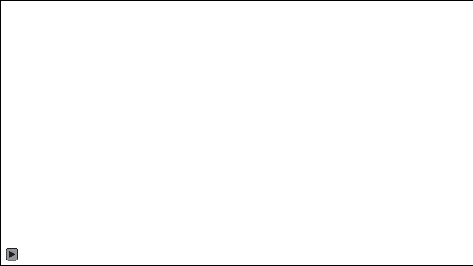